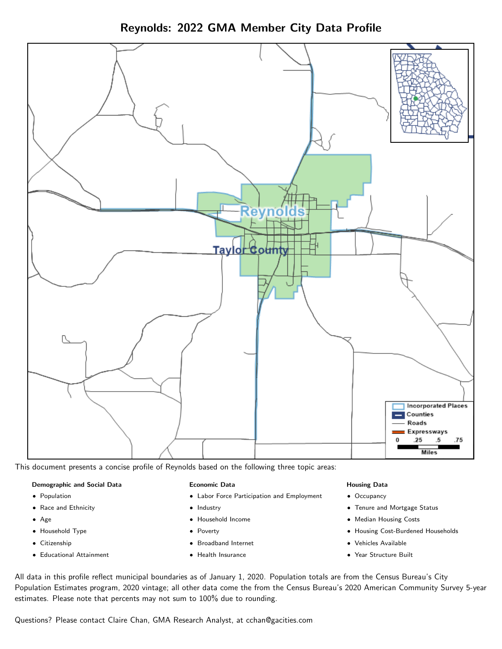Reynolds: 2022 GMA Member City Data Profile



This document presents a concise profile of Reynolds based on the following three topic areas:

#### Demographic and Social Data

- **•** Population
- Race and Ethnicity
- Age
- Household Type
- **Citizenship**
- Educational Attainment

#### Economic Data

- Labor Force Participation and Employment
- Industry
- Household Income
- Poverty
- Broadband Internet
- Health Insurance

#### Housing Data

- Occupancy
- Tenure and Mortgage Status
- Median Housing Costs
- Housing Cost-Burdened Households
- Vehicles Available
- Year Structure Built

All data in this profile reflect municipal boundaries as of January 1, 2020. Population totals are from the Census Bureau's City Population Estimates program, 2020 vintage; all other data come the from the Census Bureau's 2020 American Community Survey 5-year estimates. Please note that percents may not sum to 100% due to rounding.

Questions? Please contact Claire Chan, GMA Research Analyst, at [cchan@gacities.com.](mailto:cchan@gacities.com)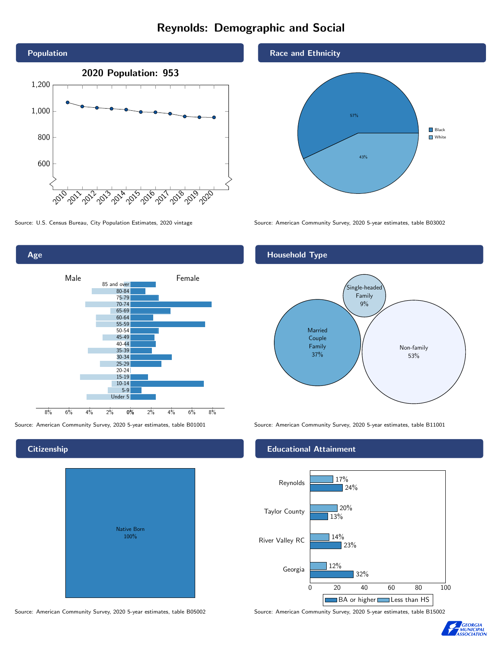# Reynolds: Demographic and Social



0% 2% 4% 6% 8% Male <u>Januar Female</u> 8% 6% 4% 2% 85 and over 80-84 75-79 70-74 65-69 60-64 55-59 50-54 45-49 40-44 35-39 30-34 25-29 20-24 15-19  $10-14$ 5-9 Under 5

**Citizenship** 

Age

| Native Born<br>100% |  |
|---------------------|--|
|                     |  |

Source: American Community Survey, 2020 5-year estimates, table B05002 Source: American Community Survey, 2020 5-year estimates, table B15002

Race and Ethnicity



Source: U.S. Census Bureau, City Population Estimates, 2020 vintage Source: American Community Survey, 2020 5-year estimates, table B03002



Source: American Community Survey, 2020 5-year estimates, table B01001 Source: American Community Survey, 2020 5-year estimates, table B11001

### Educational Attainment



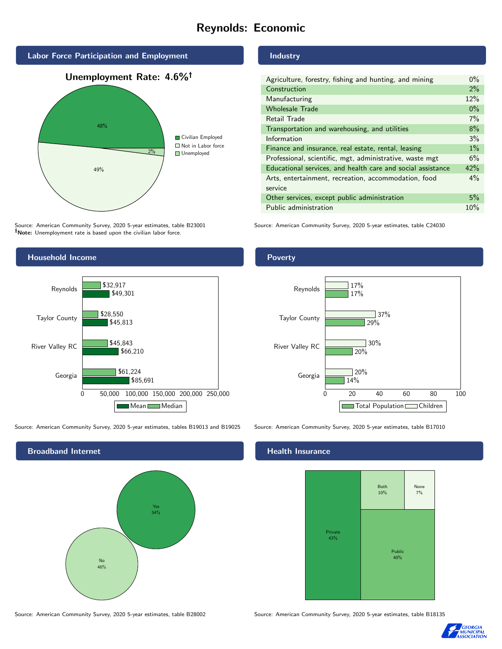# Reynolds: Economic



Source: American Community Survey, 2020 5-year estimates, table B23001 Note: Unemployment rate is based upon the civilian labor force.

## Household Income 0 50,000 100,000 150,000 200,000 250,000 Georgia River Valley RC Taylor County Reynolds \$85,691 \$66,210 \$45,813 \$49,301 \$61,224 \$45,843 \$28,550 \$32,917 Mean Median

Source: American Community Survey, 2020 5-year estimates, tables B19013 and B19025 Source: American Community Survey, 2020 5-year estimates, table B17010

Broadband Internet No 46% Yes 54%

# Industry

| Agriculture, forestry, fishing and hunting, and mining      | $0\%$ |
|-------------------------------------------------------------|-------|
| Construction                                                | $2\%$ |
| Manufacturing                                               | 12%   |
| <b>Wholesale Trade</b>                                      | $0\%$ |
| Retail Trade                                                | $7\%$ |
| Transportation and warehousing, and utilities               |       |
| Information                                                 |       |
| Finance and insurance, real estate, rental, leasing         |       |
| Professional, scientific, mgt, administrative, waste mgt    |       |
| Educational services, and health care and social assistance |       |
| Arts, entertainment, recreation, accommodation, food        |       |
| service                                                     |       |
| Other services, except public administration                |       |
| Public administration                                       |       |

Source: American Community Survey, 2020 5-year estimates, table C24030

# Poverty



#### Health Insurance



Source: American Community Survey, 2020 5-year estimates, table B28002 Source: American Community Survey, 2020 5-year estimates, table B18135